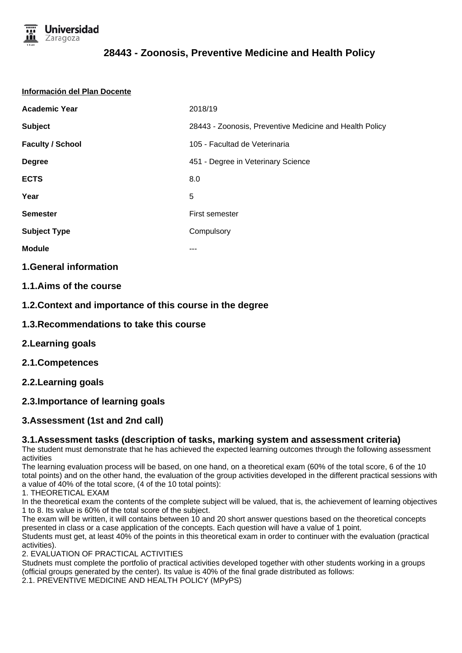

#### **Información del Plan Docente**

| <b>Academic Year</b>    | 2018/19                                                 |  |  |
|-------------------------|---------------------------------------------------------|--|--|
| <b>Subject</b>          | 28443 - Zoonosis, Preventive Medicine and Health Policy |  |  |
| <b>Faculty / School</b> | 105 - Facultad de Veterinaria                           |  |  |
| <b>Degree</b>           | 451 - Degree in Veterinary Science                      |  |  |
| <b>ECTS</b>             | 8.0                                                     |  |  |
| Year                    | 5                                                       |  |  |
| <b>Semester</b>         | First semester                                          |  |  |
| <b>Subject Type</b>     | Compulsory                                              |  |  |
| <b>Module</b>           |                                                         |  |  |
|                         |                                                         |  |  |

### **1.General information**

### **1.1.Aims of the course**

**1.2.Context and importance of this course in the degree**

- **1.3.Recommendations to take this course**
- **2.Learning goals**
- **2.1.Competences**

## **2.2.Learning goals**

## **2.3.Importance of learning goals**

## **3.Assessment (1st and 2nd call)**

#### **3.1.Assessment tasks (description of tasks, marking system and assessment criteria)**

The student must demonstrate that he has achieved the expected learning outcomes through the following assessment activities

The learning evaluation process will be based, on one hand, on a theoretical exam (60% of the total score, 6 of the 10 total points) and on the other hand, the evaluation of the group activities developed in the different practical sessions with a value of 40% of the total score, (4 of the 10 total points):

1. THEORETICAL EXAM

In the theoretical exam the contents of the complete subject will be valued, that is, the achievement of learning objectives 1 to 8. Its value is 60% of the total score of the subject.

The exam will be written, it will contains between 10 and 20 short answer questions based on the theoretical concepts presented in class or a case application of the concepts. Each question will have a value of 1 point. Students must get, at least 40% of the points in this theoretical exam in order to continuer with the evaluation (practical

activities). 2. EVALUATION OF PRACTICAL ACTIVITIES

Studnets must complete the portfolio of practical activities developed together with other students working in a groups (official groups generated by the center). Its value is 40% of the final grade distributed as follows:

2.1. PREVENTIVE MEDICINE AND HEALTH POLICY (MPyPS)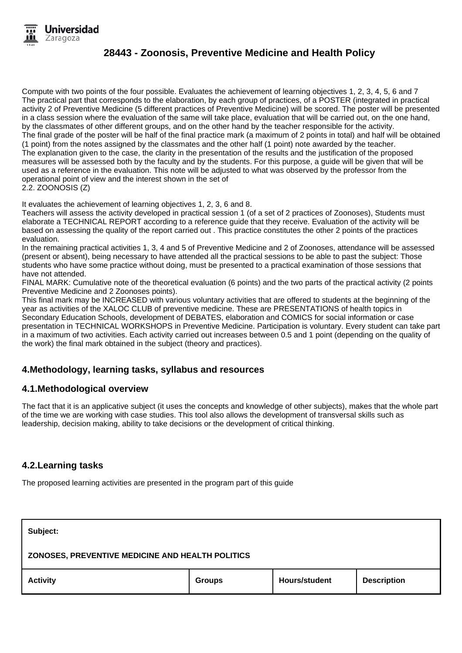Compute with two points of the four possible. Evaluates the achievement of learning objectives 1, 2, 3, 4, 5, 6 and 7 The practical part that corresponds to the elaboration, by each group of practices, of a POSTER (integrated in practical activity 2 of Preventive Medicine (5 different practices of Preventive Medicine) will be scored. The poster will be presented in a class session where the evaluation of the same will take place, evaluation that will be carried out, on the one hand, by the classmates of other different groups, and on the other hand by the teacher responsible for the activity. The final grade of the poster will be half of the final practice mark (a maximum of 2 points in total) and half will be obtained (1 point) from the notes assigned by the classmates and the other half (1 point) note awarded by the teacher. The explanation given to the case, the clarity in the presentation of the results and the justification of the proposed measures will be assessed both by the faculty and by the students. For this purpose, a guide will be given that will be used as a reference in the evaluation. This note will be adjusted to what was observed by the professor from the operational point of view and the interest shown in the set of 2.2. ZOONOSIS (Z)

It evaluates the achievement of learning objectives 1, 2, 3, 6 and 8.

Teachers will assess the activity developed in practical session 1 (of a set of 2 practices of Zoonoses), Students must elaborate a TECHNICAL REPORT according to a reference guide that they receive. Evaluation of the activity will be based on assessing the quality of the report carried out . This practice constitutes the other 2 points of the practices evaluation.

In the remaining practical activities 1, 3, 4 and 5 of Preventive Medicine and 2 of Zoonoses, attendance will be assessed (present or absent), being necessary to have attended all the practical sessions to be able to past the subject: Those students who have some practice without doing, must be presented to a practical examination of those sessions that have not attended.

FINAL MARK: Cumulative note of the theoretical evaluation (6 points) and the two parts of the practical activity (2 points Preventive Medicine and 2 Zoonoses points).

This final mark may be INCREASED with various voluntary activities that are offered to students at the beginning of the year as activities of the XALOC CLUB of preventive medicine. These are PRESENTATIONS of health topics in Secondary Education Schools, development of DEBATES, elaboration and COMICS for social information or case presentation in TECHNICAL WORKSHOPS in Preventive Medicine. Participation is voluntary. Every student can take part in a maximum of two activities. Each activity carried out increases between 0.5 and 1 point (depending on the quality of the work) the final mark obtained in the subject (theory and practices).

## **4.Methodology, learning tasks, syllabus and resources**

## **4.1.Methodological overview**

The fact that it is an applicative subject (it uses the concepts and knowledge of other subjects), makes that the whole part of the time we are working with case studies. This tool also allows the development of transversal skills such as leadership, decision making, ability to take decisions or the development of critical thinking.

## **4.2.Learning tasks**

The proposed learning activities are presented in the program part of this guide

| Subject:                                         |               |               |                    |  |  |  |
|--------------------------------------------------|---------------|---------------|--------------------|--|--|--|
| ZONOSES, PREVENTIVE MEDICINE AND HEALTH POLITICS |               |               |                    |  |  |  |
| <b>Activity</b>                                  | <b>Groups</b> | Hours/student | <b>Description</b> |  |  |  |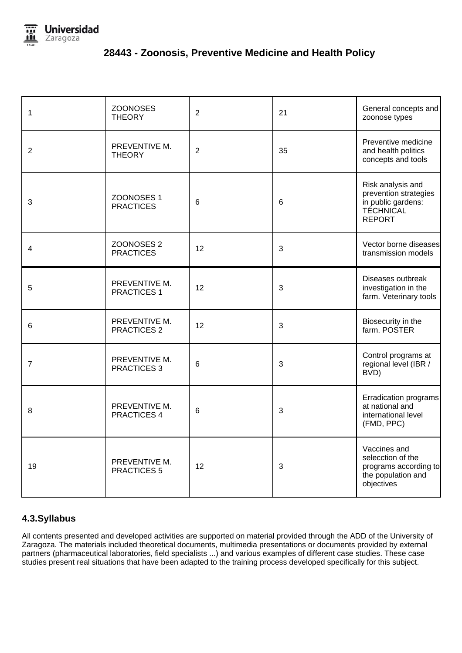

| 1              | <b>ZOONOSES</b><br><b>THEORY</b>          | $\overline{2}$ | 21 | General concepts and<br>zoonose types                                                                 |
|----------------|-------------------------------------------|----------------|----|-------------------------------------------------------------------------------------------------------|
| $\overline{2}$ | PREVENTIVE M.<br><b>THEORY</b>            | $\overline{2}$ | 35 | Preventive medicine<br>and health politics<br>concepts and tools                                      |
| 3              | ZOONOSES 1<br><b>PRACTICES</b>            | 6              | 6  | Risk analysis and<br>prevention strategies<br>in public gardens:<br><b>TÉCHNICAL</b><br><b>REPORT</b> |
| 4              | ZOONOSES <sub>2</sub><br><b>PRACTICES</b> | 12             | 3  | Vector borne diseases<br>transmission models                                                          |
| 5              | PREVENTIVE M.<br><b>PRACTICES 1</b>       | 12             | 3  | Diseases outbreak<br>investigation in the<br>farm. Veterinary tools                                   |
| 6              | PREVENTIVE M.<br><b>PRACTICES 2</b>       | 12             | 3  | Biosecurity in the<br>farm. POSTER                                                                    |
| 7              | PREVENTIVE M.<br>PRACTICES 3              | 6              | 3  | Control programs at<br>regional level (IBR /<br>BVD)                                                  |
| 8              | PREVENTIVE M.<br>PRACTICES 4              | 6              | 3  | Erradication programs<br>at national and<br>international level<br>(FMD, PPC)                         |
| 19             | PREVENTIVE M.<br><b>PRACTICES 5</b>       | 12             | 3  | Vaccines and<br>selecction of the<br>programs according to<br>the population and<br>objectives        |

## **4.3.Syllabus**

All contents presented and developed activities are supported on material provided through the ADD of the University of Zaragoza. The materials included theoretical documents, multimedia presentations or documents provided by external partners (pharmaceutical laboratories, field specialists ...) and various examples of different case studies. These case studies present real situations that have been adapted to the training process developed specifically for this subject.